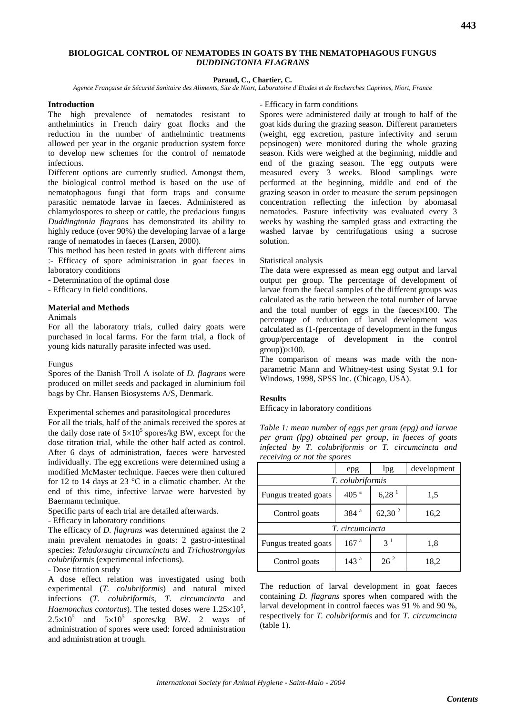# **BIOLOGICAL CONTROL OF NEMATODES IN GOATS BY THE NEMATOPHAGOUS FUNGUS** *DUDDINGTONIA FLAGRANS*

# **Paraud, C., Chartier, C.**

*Agence Française de Sécurité Sanitaire des Aliments, Site de Niort, Laboratoire d'Etudes et de Recherches Caprines, Niort, France*

### **Introduction**

The high prevalence of nematodes resistant to anthelmintics in French dairy goat flocks and the reduction in the number of anthelmintic treatments allowed per year in the organic production system force to develop new schemes for the control of nematode infections.

Different options are currently studied. Amongst them, the biological control method is based on the use of nematophagous fungi that form traps and consume parasitic nematode larvae in faeces. Administered as chlamydospores to sheep or cattle, the predacious fungus *Duddingtonia flagrans* has demonstrated its ability to highly reduce (over 90%) the developing larvae of a large range of nematodes in faeces (Larsen, 2000).

This method has been tested in goats with different aims :- Efficacy of spore administration in goat faeces in laboratory conditions

- Determination of the optimal dose

- Efficacy in field conditions.

### **Material and Methods**

### Animals

For all the laboratory trials, culled dairy goats were purchased in local farms. For the farm trial, a flock of young kids naturally parasite infected was used.

## Fungus

Spores of the Danish Troll A isolate of *D. flagrans* were produced on millet seeds and packaged in aluminium foil bags by Chr. Hansen Biosystems A/S, Denmark.

Experimental schemes and parasitological procedures

For all the trials, half of the animals received the spores at the daily dose rate of  $5 \times 10^5$  spores/kg BW, except for the dose titration trial, while the other half acted as control. After 6 days of administration, faeces were harvested individually. The egg excretions were determined using a modified McMaster technique. Faeces were then cultured for 12 to 14 days at 23 °C in a climatic chamber. At the end of this time, infective larvae were harvested by Baermann technique.

Specific parts of each trial are detailed afterwards.

- Efficacy in laboratory conditions

The efficacy of *D. flagrans* was determined against the 2 main prevalent nematodes in goats: 2 gastro-intestinal species: *Teladorsagia circumcincta* and *Trichostrongylus colubriformis* (experimental infections).

- Dose titration study

A dose effect relation was investigated using both experimental (*T. colubriformis*) and natural mixed infections (*T. colubriformis*, *T. circumcincta* and *Haemonchus contortus*). The tested doses were  $1.25 \times 10^5$ ,  $2.5 \times 10^5$  and  $5 \times 10^5$  spores/kg BW. 2 ways of administration of spores were used: forced administration and administration at trough.

# - Efficacy in farm conditions

Spores were administered daily at trough to half of the goat kids during the grazing season. Different parameters (weight, egg excretion, pasture infectivity and serum pepsinogen) were monitored during the whole grazing season. Kids were weighed at the beginning, middle and end of the grazing season. The egg outputs were measured every 3 weeks. Blood samplings were performed at the beginning, middle and end of the grazing season in order to measure the serum pepsinogen concentration reflecting the infection by abomasal nematodes. Pasture infectivity was evaluated every 3 weeks by washing the sampled grass and extracting the washed larvae by centrifugations using a sucrose solution.

## Statistical analysis

The data were expressed as mean egg output and larval output per group. The percentage of development of larvae from the faecal samples of the different groups was calculated as the ratio between the total number of larvae and the total number of eggs in the faeces×100. The percentage of reduction of larval development was calculated as (1-(percentage of development in the fungus group/percentage of development in the control  $group$ ) $\times$ 100.

The comparison of means was made with the nonparametric Mann and Whitney-test using Systat 9.1 for Windows, 1998, SPSS Inc. (Chicago, USA).

## **Results**

Efficacy in laboratory conditions

*Table 1: mean number of eggs per gram (epg) and larvae per gram (lpg) obtained per group, in faeces of goats infected by T. colubriformis or T. circumcincta and receiving or not the spores*

|                      | epg              | lpg                 | development |
|----------------------|------------------|---------------------|-------------|
| T. colubriformis     |                  |                     |             |
| Fungus treated goats | 405 <sup>a</sup> | $6,28$ <sup>1</sup> | 1,5         |
| Control goats        | 384 <sup>a</sup> | $62,30^2$           | 16,2        |
| T. circumcincta      |                  |                     |             |
| Fungus treated goats | 167 <sup>a</sup> | $3^1$               | 1,8         |
| Control goats        | 143 <sup>a</sup> | $26^2$              | 18,2        |

The reduction of larval development in goat faeces containing *D. flagrans* spores when compared with the larval development in control faeces was 91 % and 90 %, respectively for *T. colubriformis* and for *T. circumcincta* (table 1).